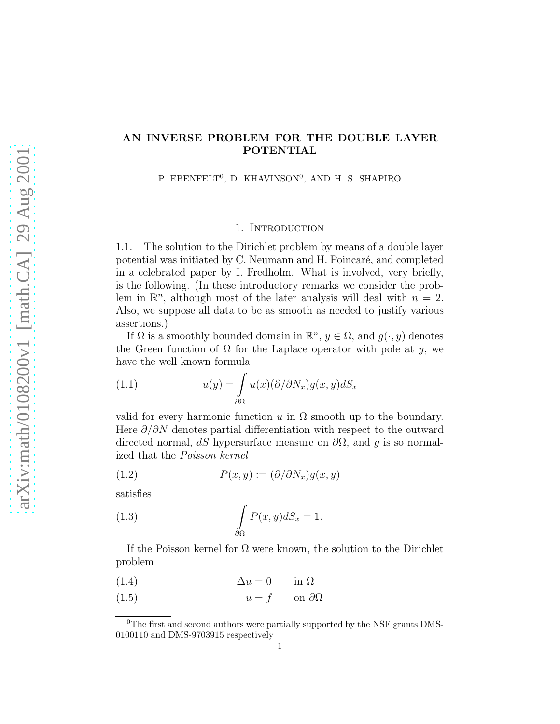# AN INVERSE PROBLEM FOR THE DOUBLE LAYER POTENTIAL

P. EBENFELT<sup>0</sup>, D. KHAVINSON<sup>0</sup>, AND H. S. SHAPIRO

## 1. INTRODUCTION

1.1. The solution to the Dirichlet problem by means of a double layer potential was initiated by C. Neumann and H. Poincaré, and completed in a celebrated paper by I. Fredholm. What is involved, very briefly, is the following. (In these introductory remarks we consider the problem in  $\mathbb{R}^n$ , although most of the later analysis will deal with  $n = 2$ . Also, we suppose all data to be as smooth as needed to justify various assertions.)

If  $\Omega$  is a smoothly bounded domain in  $\mathbb{R}^n$ ,  $y \in \Omega$ , and  $g(\cdot, y)$  denotes the Green function of  $\Omega$  for the Laplace operator with pole at y, we have the well known formula

(1.1) 
$$
u(y) = \int_{\partial \Omega} u(x) (\partial / \partial N_x) g(x, y) dS_x
$$

valid for every harmonic function u in  $\Omega$  smooth up to the boundary. Here  $\partial/\partial N$  denotes partial differentiation with respect to the outward directed normal, dS hypersurface measure on  $\partial\Omega$ , and g is so normalized that the *Poisson kernel*

(1.2) 
$$
P(x, y) := (\partial/\partial N_x) g(x, y)
$$

satisfies

(1.3) 
$$
\int_{\partial\Omega} P(x, y) dS_x = 1.
$$

If the Poisson kernel for  $\Omega$  were known, the solution to the Dirichlet problem

- (1.4)  $\Delta u = 0$  in  $\Omega$
- (1.5)  $u = f$  on  $\partial\Omega$

<sup>&</sup>lt;sup>0</sup>The first and second authors were partially supported by the NSF grants DMS-0100110 and DMS-9703915 respectively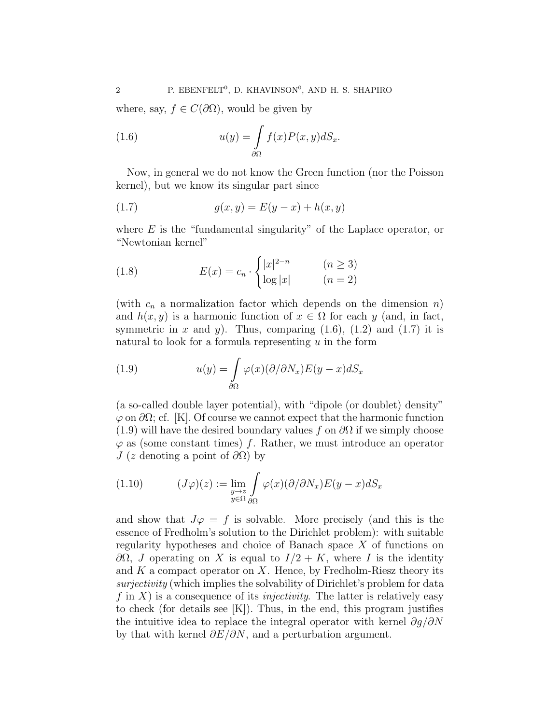where, say,  $f \in C(\partial\Omega)$ , would be given by

(1.6) 
$$
u(y) = \int_{\partial \Omega} f(x)P(x,y)dS_x.
$$

Now, in general we do not know the Green function (nor the Poisson kernel), but we know its singular part since

(1.7) 
$$
g(x, y) = E(y - x) + h(x, y)
$$

where  $E$  is the "fundamental singularity" of the Laplace operator, or "Newtonian kernel"

(1.8) 
$$
E(x) = c_n \cdot \begin{cases} |x|^{2-n} & (n \ge 3) \\ \log |x| & (n = 2) \end{cases}
$$

(with  $c_n$  a normalization factor which depends on the dimension n) and  $h(x, y)$  is a harmonic function of  $x \in \Omega$  for each y (and, in fact, symmetric in x and y). Thus, comparing  $(1.6)$ ,  $(1.2)$  and  $(1.7)$  it is natural to look for a formula representing  $u$  in the form

(1.9) 
$$
u(y) = \int_{\partial \Omega} \varphi(x) (\partial/\partial N_x) E(y - x) dS_x
$$

(a so-called double layer potential), with "dipole (or doublet) density"  $\varphi$  on  $\partial\Omega$ ; cf. [K]. Of course we cannot expect that the harmonic function (1.9) will have the desired boundary values f on  $\partial\Omega$  if we simply choose  $\varphi$  as (some constant times) f. Rather, we must introduce an operator J (z denoting a point of  $\partial\Omega$ ) by

(1.10) 
$$
(J\varphi)(z) := \lim_{\substack{y \to z \\ y \in \Omega}} \int_{\partial\Omega} \varphi(x) (\partial/\partial N_x) E(y - x) dS_x
$$

and show that  $J\varphi = f$  is solvable. More precisely (and this is the essence of Fredholm's solution to the Dirichlet problem): with suitable regularity hypotheses and choice of Banach space X of functions on  $\partial\Omega$ , *J* operating on *X* is equal to  $I/2 + K$ , where *I* is the identity and  $K$  a compact operator on  $X$ . Hence, by Fredholm-Riesz theory its *surjectivity* (which implies the solvability of Dirichlet's problem for data f in X) is a consequence of its *injectivity*. The latter is relatively easy to check (for details see  $[K]$ ). Thus, in the end, this program justifies the intuitive idea to replace the integral operator with kernel  $\partial g/\partial N$ by that with kernel  $\partial E/\partial N$ , and a perturbation argument.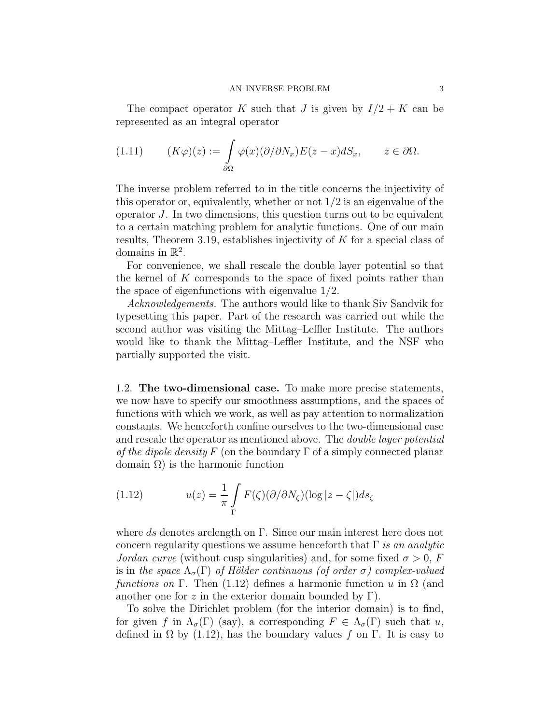The compact operator K such that J is given by  $I/2 + K$  can be represented as an integral operator

(1.11) 
$$
(K\varphi)(z) := \int_{\partial\Omega} \varphi(x) (\partial/\partial N_x) E(z - x) dS_x, \qquad z \in \partial\Omega.
$$

The inverse problem referred to in the title concerns the injectivity of this operator or, equivalently, whether or not  $1/2$  is an eigenvalue of the operator J. In two dimensions, this question turns out to be equivalent to a certain matching problem for analytic functions. One of our main results, Theorem 3.19, establishes injectivity of K for a special class of domains in  $\mathbb{R}^2$ .

For convenience, we shall rescale the double layer potential so that the kernel of  $K$  corresponds to the space of fixed points rather than the space of eigenfunctions with eigenvalue 1/2.

*Acknowledgements.* The authors would like to thank Siv Sandvik for typesetting this paper. Part of the research was carried out while the second author was visiting the Mittag–Leffler Institute. The authors would like to thank the Mittag–Leffler Institute, and the NSF who partially supported the visit.

1.2. The two-dimensional case. To make more precise statements, we now have to specify our smoothness assumptions, and the spaces of functions with which we work, as well as pay attention to normalization constants. We henceforth confine ourselves to the two-dimensional case and rescale the operator as mentioned above. The *double layer potential of the dipole density*  $F$  (on the boundary  $\Gamma$  of a simply connected planar domain  $\Omega$ ) is the harmonic function

(1.12) 
$$
u(z) = \frac{1}{\pi} \int_{\Gamma} F(\zeta) (\partial/\partial N_{\zeta}) (\log |z - \zeta|) ds_{\zeta}
$$

where ds denotes arclength on  $\Gamma$ . Since our main interest here does not concern regularity questions we assume henceforth that Γ *is an analytic Jordan curve* (without cusp singularities) and, for some fixed  $\sigma > 0$ , F is in the space  $\Lambda_{\sigma}(\Gamma)$  of Hölder continuous (of order  $\sigma$ ) complex-valued *functions on* Γ. Then (1.12) defines a harmonic function u in  $\Omega$  (and another one for z in the exterior domain bounded by  $\Gamma$ ).

To solve the Dirichlet problem (for the interior domain) is to find, for given f in  $\Lambda_{\sigma}(\Gamma)$  (say), a corresponding  $F \in \Lambda_{\sigma}(\Gamma)$  such that u, defined in  $\Omega$  by (1.12), has the boundary values f on Γ. It is easy to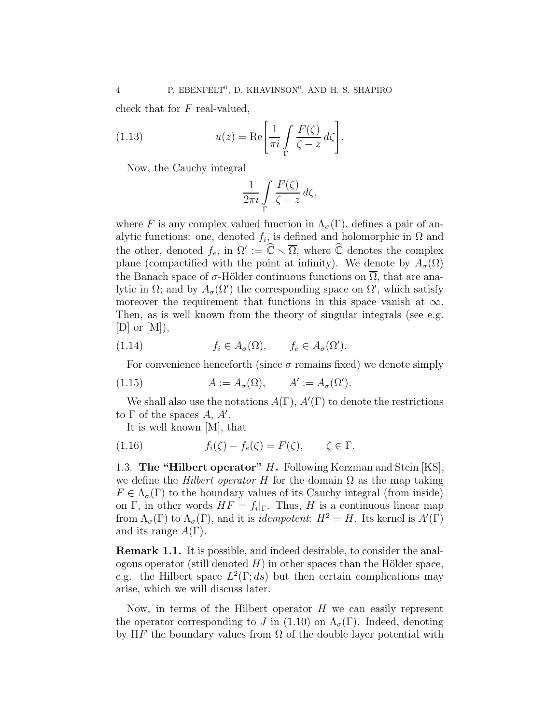check that for F real-valued,

(1.13) 
$$
u(z) = \text{Re}\left[\frac{1}{\pi i} \int\limits_{\Gamma} \frac{F(\zeta)}{\zeta - z} d\zeta\right].
$$

Now, the Cauchy integral

$$
\frac{1}{2\pi i} \int\limits_{\Gamma} \frac{F(\zeta)}{\zeta - z} d\zeta,
$$

where F is any complex valued function in  $\Lambda_{\sigma}(\Gamma)$ , defines a pair of analytic functions: one, denoted  $f_i$ , is defined and holomorphic in  $\Omega$  and the other, denoted  $f_e$ , in  $\Omega' := \widehat{\mathbb{C}} \setminus \overline{\Omega}$ , where  $\widehat{\mathbb{C}}$  denotes the complex plane (compactified with the point at infinity). We denote by  $A_{\sigma}(\Omega)$ the Banach space of  $\sigma$ -Hölder continuous functions on  $\overline{\Omega}$ , that are analytic in  $\Omega$ ; and by  $A_{\sigma}(\Omega')$  the corresponding space on  $\Omega'$ , which satisfy moreover the requirement that functions in this space vanish at  $\infty$ . Then, as is well known from the theory of singular integrals (see e.g.  $|D|$  or  $|M|$ ),

(1.14) 
$$
f_i \in A_{\sigma}(\Omega), \qquad f_e \in A_{\sigma}(\Omega').
$$

For convenience henceforth (since  $\sigma$  remains fixed) we denote simply

(1.15) 
$$
A := A_{\sigma}(\Omega), \qquad A' := A_{\sigma}(\Omega').
$$

We shall also use the notations  $A(\Gamma)$ ,  $A'(\Gamma)$  to denote the restrictions to  $\Gamma$  of the spaces  $A, A'$ .

It is well known [M], that

(1.16) 
$$
f_i(\zeta) - f_e(\zeta) = F(\zeta), \qquad \zeta \in \Gamma.
$$

1.3. The "Hilbert operator" H. Following Kerzman and Stein [KS], we define the *Hilbert operator* H for the domain  $\Omega$  as the map taking  $F \in \Lambda_{\sigma}(\Gamma)$  to the boundary values of its Cauchy integral (from inside) on Γ, in other words  $HF = f_i|_{\Gamma}$ . Thus, H is a continuous linear map from  $\Lambda_{\sigma}(\Gamma)$  to  $\Lambda_{\sigma}(\Gamma)$ , and it is *idempotent*:  $H^2 = H$ . Its kernel is  $A'(\Gamma)$ and its range  $A(\Gamma)$ .

Remark 1.1. It is possible, and indeed desirable, to consider the analogous operator (still denoted  $H$ ) in other spaces than the Hölder space, e.g. the Hilbert space  $L^2(\Gamma; ds)$  but then certain complications may arise, which we will discuss later.

Now, in terms of the Hilbert operator  $H$  we can easily represent the operator corresponding to J in (1.10) on  $\Lambda_{\sigma}(\Gamma)$ . Indeed, denoting by  $\Pi F$  the boundary values from  $\Omega$  of the double layer potential with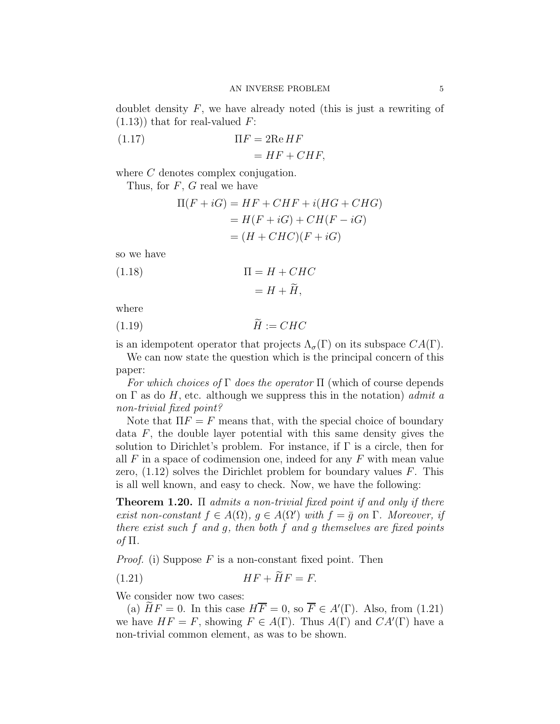doublet density  $F$ , we have already noted (this is just a rewriting of  $(1.13)$ ) that for real-valued F:

(1.17) 
$$
\Pi F = 2\text{Re}\,HF
$$

$$
= HF + CHF,
$$

where C denotes complex conjugation.

Thus, for  $F$ ,  $G$  real we have

$$
\Pi(F + iG) = HF + CHF + i(HG + CHG)
$$
  
=  $H(F + iG) + CH(F - iG)$   
=  $(H + CHC)(F + iG)$ 

so we have

(1.18) 
$$
\Pi = H + CHC
$$

$$
= H + \widetilde{H},
$$

where

$$
(1.19)\qquad \qquad \widetilde{H} := CHC
$$

is an idempotent operator that projects  $\Lambda_{\sigma}(\Gamma)$  on its subspace  $CA(\Gamma)$ .

We can now state the question which is the principal concern of this paper:

*For which choices of* Γ *does the operator* Π (which of course depends on Γ as do H, etc. although we suppress this in the notation) *admit a non-trivial fixed point?*

Note that  $\Pi F = F$  means that, with the special choice of boundary data  $F$ , the double layer potential with this same density gives the solution to Dirichlet's problem. For instance, if  $\Gamma$  is a circle, then for all  $F$  in a space of codimension one, indeed for any  $F$  with mean value zero,  $(1.12)$  solves the Dirichlet problem for boundary values F. This is all well known, and easy to check. Now, we have the following:

Theorem 1.20. Π *admits a non-trivial fixed point if and only if there exist non-constant*  $f \in A(\Omega)$ ,  $g \in A(\Omega')$  *with*  $f = \overline{g}$  *on*  $\Gamma$ *. Moreover, if there exist such* f *and* g*, then both* f *and* g *themselves are fixed points of* Π*.*

*Proof.* (i) Suppose  $F$  is a non-constant fixed point. Then

$$
(1.21) \tHF + HF = F.
$$

We consider now two cases:

(a)  $\widetilde{H}F = 0$ . In this case  $H\overline{F} = 0$ , so  $\overline{F} \in A'(\Gamma)$ . Also, from (1.21) we have  $HF = F$ , showing  $F \in A(\Gamma)$ . Thus  $A(\Gamma)$  and  $CA'(\Gamma)$  have a non-trivial common element, as was to be shown.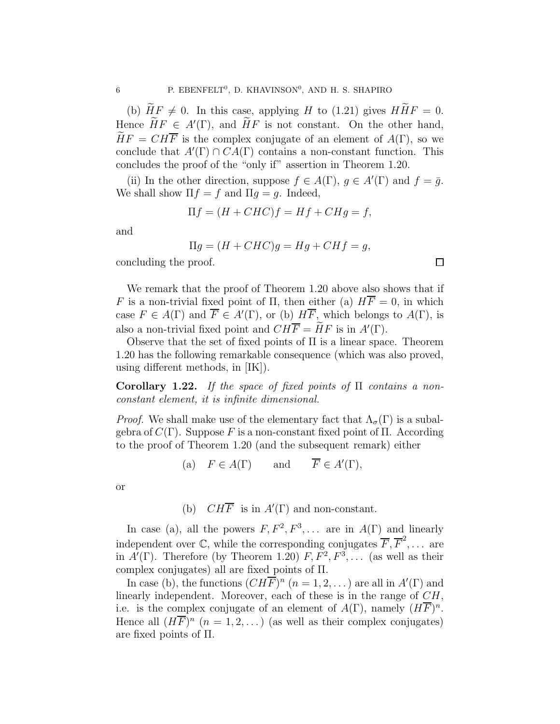(b)  $\widetilde{H}F \neq 0$ . In this case, applying H to (1.21) gives  $H\widetilde{H}F = 0$ . Hence  $\widetilde{H}F \in A'(\Gamma)$ , and  $\widetilde{H}F$  is not constant. On the other hand,  $\widetilde{H}F = CH\overline{F}$  is the complex conjugate of an element of  $A(\Gamma)$ , so we conclude that  $A'(\Gamma) \cap CA(\Gamma)$  contains a non-constant function. This concludes the proof of the "only if" assertion in Theorem 1.20.

(ii) In the other direction, suppose  $f \in A(\Gamma)$ ,  $g \in A'(\Gamma)$  and  $f = \overline{g}$ . We shall show  $\Pi f = f$  and  $\Pi g = g$ . Indeed,

$$
\Pi f = (H + CHC)f = Hf + CHg = f,
$$

and

$$
\Pi g = (H + CHC)g = Hg + CHf = g,
$$

口

concluding the proof.

We remark that the proof of Theorem 1.20 above also shows that if F is a non-trivial fixed point of  $\Pi$ , then either (a)  $H\overline{F} = 0$ , in which case  $F \in A(\Gamma)$  and  $\overline{F} \in A'(\Gamma)$ , or (b)  $H\overline{F}$ , which belongs to  $A(\Gamma)$ , is also a non-trivial fixed point and  $CH\overline{F} = \widetilde{H}F$  is in  $A'(\Gamma)$ .

Observe that the set of fixed points of Π is a linear space. Theorem 1.20 has the following remarkable consequence (which was also proved, using different methods, in [IK]).

Corollary 1.22. *If the space of fixed points of* Π *contains a nonconstant element, it is infinite dimensional.*

*Proof.* We shall make use of the elementary fact that  $\Lambda_{\sigma}(\Gamma)$  is a subalgebra of  $C(Γ)$ . Suppose F is a non-constant fixed point of Π. According to the proof of Theorem 1.20 (and the subsequent remark) either

(a) 
$$
F \in A(\Gamma)
$$
 and  $\overline{F} \in A'(\Gamma)$ ,

or

(b)  $CH\overline{F}$  is in  $A'(\Gamma)$  and non-constant.

In case (a), all the powers  $F, F^2, F^3, \ldots$  are in  $A(\Gamma)$  and linearly independent over  $\mathbb C$ , while the corresponding conjugates  $\overline F, \overline F^2, \ldots$  are in  $A'(\Gamma)$ . Therefore (by Theorem 1.20)  $F, F^2, F^3, \ldots$  (as well as their complex conjugates) all are fixed points of Π.

In case (b), the functions  $(CH\overline{F})^n$   $(n = 1, 2, ...)$  are all in  $A'(\Gamma)$  and linearly independent. Moreover, each of these is in the range of CH, i.e. is the complex conjugate of an element of  $A(\Gamma)$ , namely  $(H\overline{F})^n$ . Hence all  $(H\overline{F})^n$   $(n = 1, 2, ...)$  (as well as their complex conjugates) are fixed points of Π.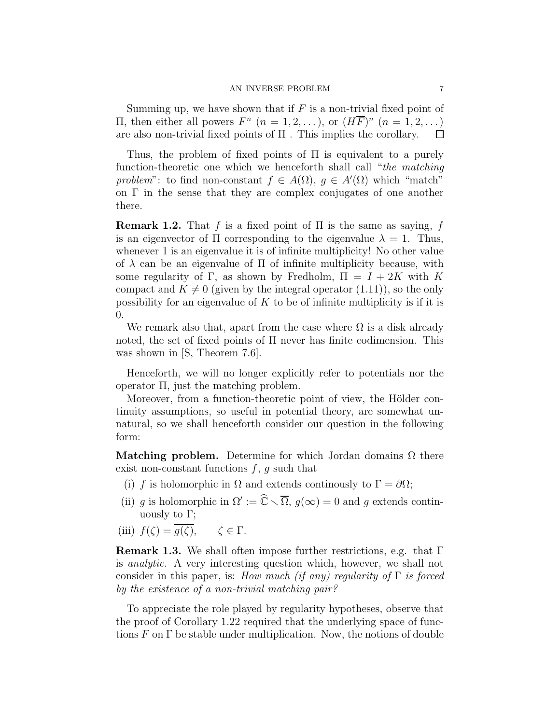Summing up, we have shown that if  $F$  is a non-trivial fixed point of Π, then either all powers  $F^n$   $(n = 1, 2, ...)$ , or  $(H\overline{F})^n$   $(n = 1, 2, ...)$ are also non-trivial fixed points of Π . This implies the corollary.  $\Box$ 

Thus, the problem of fixed points of Π is equivalent to a purely function-theoretic one which we henceforth shall call "*the matching* problem": to find non-constant  $f \in A(\Omega)$ ,  $g \in A'(\Omega)$  which "match" on  $\Gamma$  in the sense that they are complex conjugates of one another there.

**Remark 1.2.** That f is a fixed point of  $\Pi$  is the same as saying, f is an eigenvector of  $\Pi$  corresponding to the eigenvalue  $\lambda = 1$ . Thus, whenever 1 is an eigenvalue it is of infinite multiplicity! No other value of  $\lambda$  can be an eigenvalue of  $\Pi$  of infinite multiplicity because, with some regularity of Γ, as shown by Fredholm,  $\Pi = I + 2K$  with K compact and  $K \neq 0$  (given by the integral operator (1.11)), so the only possibility for an eigenvalue of  $K$  to be of infinite multiplicity is if it is 0.

We remark also that, apart from the case where  $\Omega$  is a disk already noted, the set of fixed points of  $\Pi$  never has finite codimension. This was shown in [S, Theorem 7.6].

Henceforth, we will no longer explicitly refer to potentials nor the operator Π, just the matching problem.

Moreover, from a function-theoretic point of view, the Hölder continuity assumptions, so useful in potential theory, are somewhat unnatural, so we shall henceforth consider our question in the following form:

Matching problem. Determine for which Jordan domains  $\Omega$  there exist non-constant functions  $f, g$  such that

- (i) f is holomorphic in  $\Omega$  and extends continuously to  $\Gamma = \partial \Omega$ ;
- (ii) g is holomorphic in  $\Omega' := \widehat{\mathbb{C}} \setminus \overline{\Omega}$ ,  $g(\infty) = 0$  and g extends continuously to  $\Gamma$ ;
- (iii)  $f(\zeta) = \overline{g(\zeta)}, \quad \zeta \in \Gamma.$

**Remark 1.3.** We shall often impose further restrictions, e.g. that  $\Gamma$ is *analytic*. A very interesting question which, however, we shall not consider in this paper, is: *How much (if any) regularity of* Γ *is forced by the existence of a non-trivial matching pair?*

To appreciate the role played by regularity hypotheses, observe that the proof of Corollary 1.22 required that the underlying space of functions  $F$  on  $\Gamma$  be stable under multiplication. Now, the notions of double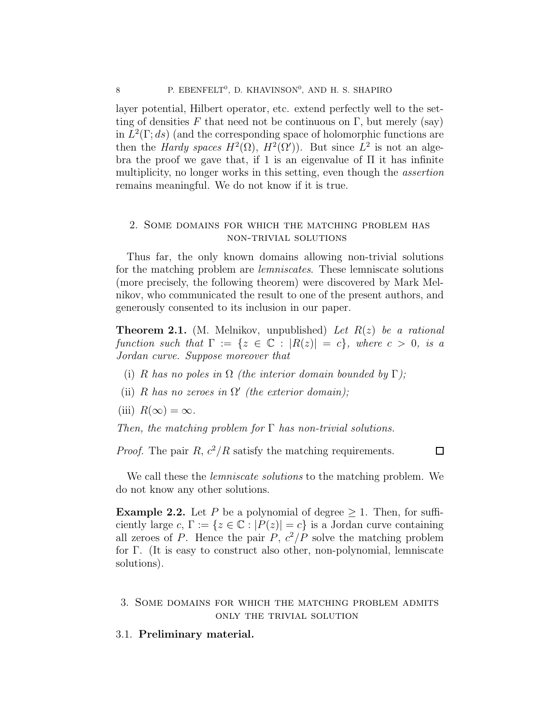layer potential, Hilbert operator, etc. extend perfectly well to the setting of densities F that need not be continuous on Γ, but merely (say) in  $L^2(\Gamma; ds)$  (and the corresponding space of holomorphic functions are then the *Hardy spaces*  $H^2(\Omega)$ ,  $H^2(\Omega')$ ). But since  $L^2$  is not an algebra the proof we gave that, if 1 is an eigenvalue of  $\Pi$  it has infinite multiplicity, no longer works in this setting, even though the *assertion* remains meaningful. We do not know if it is true.

## 2. Some domains for which the matching problem has non-trivial solutions

Thus far, the only known domains allowing non-trivial solutions for the matching problem are *lemniscates*. These lemniscate solutions (more precisely, the following theorem) were discovered by Mark Melnikov, who communicated the result to one of the present authors, and generously consented to its inclusion in our paper.

Theorem 2.1. (M. Melnikov, unpublished) *Let* R(z) *be a rational function such that*  $\Gamma := \{z \in \mathbb{C} : |R(z)| = c\}$ *, where*  $c > 0$ *, is a Jordan curve. Suppose moreover that*

- (i) R has no poles in  $\Omega$  *(the interior domain bounded by*  $\Gamma$ *);*
- (ii) R has no zeroes in  $\Omega'$  (the exterior domain);
- (iii)  $R(\infty) = \infty$ .

*Then, the matching problem for* Γ *has non-trivial solutions.*

*Proof.* The pair  $R$ ,  $c^2/R$  satisfy the matching requirements.

 $\Box$ 

We call these the *lemniscate solutions* to the matching problem. We do not know any other solutions.

**Example 2.2.** Let P be a polynomial of degree  $\geq 1$ . Then, for sufficiently large c,  $\Gamma := \{z \in \mathbb{C} : |P(z)| = c\}$  is a Jordan curve containing all zeroes of P. Hence the pair  $P, c^2/P$  solve the matching problem for Γ. (It is easy to construct also other, non-polynomial, lemniscate solutions).

## 3. Some domains for which the matching problem admits only the trivial solution

## 3.1. Preliminary material.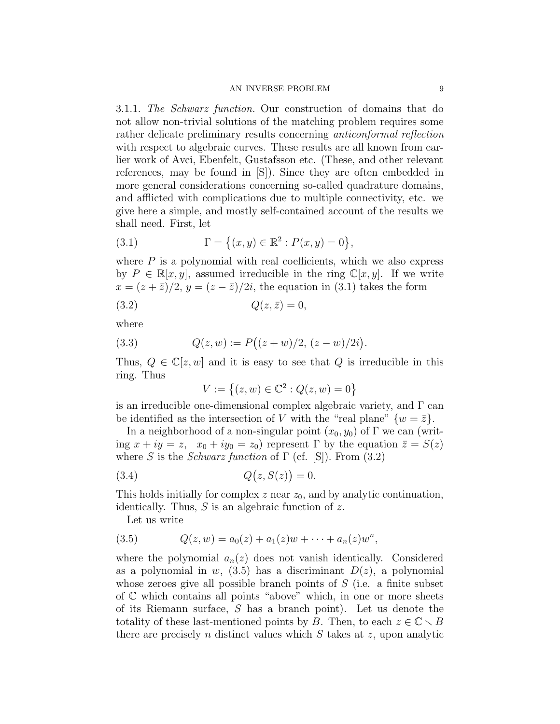3.1.1. *The Schwarz function.* Our construction of domains that do not allow non-trivial solutions of the matching problem requires some rather delicate preliminary results concerning *anticonformal reflection* with respect to algebraic curves. These results are all known from earlier work of Avci, Ebenfelt, Gustafsson etc. (These, and other relevant references, may be found in [S]). Since they are often embedded in more general considerations concerning so-called quadrature domains, and afflicted with complications due to multiple connectivity, etc. we give here a simple, and mostly self-contained account of the results we shall need. First, let

(3.1) 
$$
\Gamma = \{(x, y) \in \mathbb{R}^2 : P(x, y) = 0\},\
$$

where  $P$  is a polynomial with real coefficients, which we also express by  $P \in \mathbb{R}[x, y]$ , assumed irreducible in the ring  $\mathbb{C}[x, y]$ . If we write  $x = (z + \overline{z})/2$ ,  $y = (z - \overline{z})/2i$ , the equation in (3.1) takes the form

$$
(3.2) \tQ(z,\bar{z}) = 0,
$$

where

(3.3) 
$$
Q(z, w) := P((z + w)/2, (z - w)/2i).
$$

Thus,  $Q \in \mathbb{C}[z, w]$  and it is easy to see that Q is irreducible in this ring. Thus

$$
V := \{(z, w) \in \mathbb{C}^2 : Q(z, w) = 0\}
$$

is an irreducible one-dimensional complex algebraic variety, and Γ can be identified as the intersection of V with the "real plane"  $\{w = \overline{z}\}.$ 

In a neighborhood of a non-singular point  $(x_0, y_0)$  of  $\Gamma$  we can (writing  $x + iy = z$ ,  $x_0 + iy_0 = z_0$  represent  $\Gamma$  by the equation  $\bar{z} = S(z)$ where S is the *Schwarz function* of  $\Gamma$  (cf. [S]). From (3.2)

$$
(3.4) \tQ(z, S(z)) = 0.
$$

This holds initially for complex  $z$  near  $z_0$ , and by analytic continuation, identically. Thus,  $S$  is an algebraic function of  $z$ .

Let us write

(3.5) 
$$
Q(z, w) = a_0(z) + a_1(z)w + \cdots + a_n(z)w^n,
$$

where the polynomial  $a_n(z)$  does not vanish identically. Considered as a polynomial in w,  $(3.5)$  has a discriminant  $D(z)$ , a polynomial whose zeroes give all possible branch points of  $S$  (i.e. a finite subset of C which contains all points "above" which, in one or more sheets of its Riemann surface, S has a branch point). Let us denote the totality of these last-mentioned points by B. Then, to each  $z \in \mathbb{C} \setminus B$ there are precisely n distinct values which  $S$  takes at  $z$ , upon analytic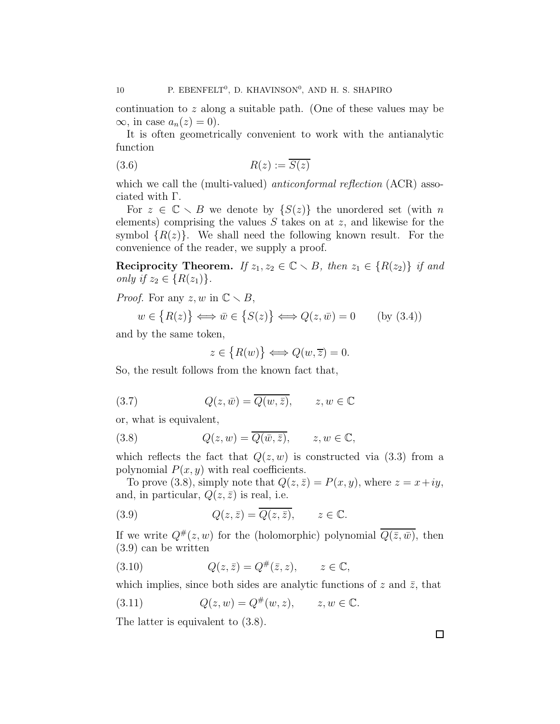continuation to z along a suitable path. (One of these values may be  $\infty$ , in case  $a_n(z) = 0$ ).

It is often geometrically convenient to work with the antianalytic function

$$
(3.6) \t R(z) := \overline{S(z)}
$$

which we call the (multi-valued) *anticonformal reflection* (ACR) associated with Γ.

For  $z \in \mathbb{C} \setminus B$  we denote by  $\{S(z)\}\$  the unordered set (with n elements) comprising the values  $S$  takes on at  $z$ , and likewise for the symbol  $\{R(z)\}\$ . We shall need the following known result. For the convenience of the reader, we supply a proof.

**Reciprocity Theorem.** *If*  $z_1, z_2 \in \mathbb{C} \setminus B$ *, then*  $z_1 \in \{R(z_2)\}$  *if and only if*  $z_2 \in \{R(z_1)\}.$ 

*Proof.* For any  $z, w$  in  $\mathbb{C} \setminus B$ ,

$$
w \in \{R(z)\} \Longleftrightarrow \bar{w} \in \{S(z)\} \Longleftrightarrow Q(z, \bar{w}) = 0 \quad \text{(by (3.4))}
$$

and by the same token,

$$
z \in \big\{ R(w) \big\} \Longleftrightarrow Q(w, \overline{z}) = 0.
$$

So, the result follows from the known fact that,

(3.7) 
$$
Q(z,\bar{w}) = \overline{Q(w,\bar{z})}, \qquad z, w \in \mathbb{C}
$$

or, what is equivalent,

(3.8) 
$$
Q(z, w) = \overline{Q(\overline{w}, \overline{z})}, \qquad z, w \in \mathbb{C},
$$

which reflects the fact that  $Q(z, w)$  is constructed via (3.3) from a polynomial  $P(x, y)$  with real coefficients.

To prove (3.8), simply note that  $Q(z, \bar{z}) = P(x, y)$ , where  $z = x+iy$ , and, in particular,  $Q(z, \bar{z})$  is real, i.e.

(3.9) 
$$
Q(z,\bar{z}) = \overline{Q(z,\bar{z})}, \qquad z \in \mathbb{C}.
$$

If we write  $Q^{\#}(z,w)$  for the (holomorphic) polynomial  $\overline{Q(\bar{z},\bar{w})}$ , then (3.9) can be written

(3.10) 
$$
Q(z,\bar{z}) = Q^{\#}(\bar{z},z), \qquad z \in \mathbb{C},
$$

which implies, since both sides are analytic functions of z and  $\bar{z}$ , that

(3.11) 
$$
Q(z, w) = Q^{\#}(w, z), \qquad z, w \in \mathbb{C}.
$$

The latter is equivalent to (3.8).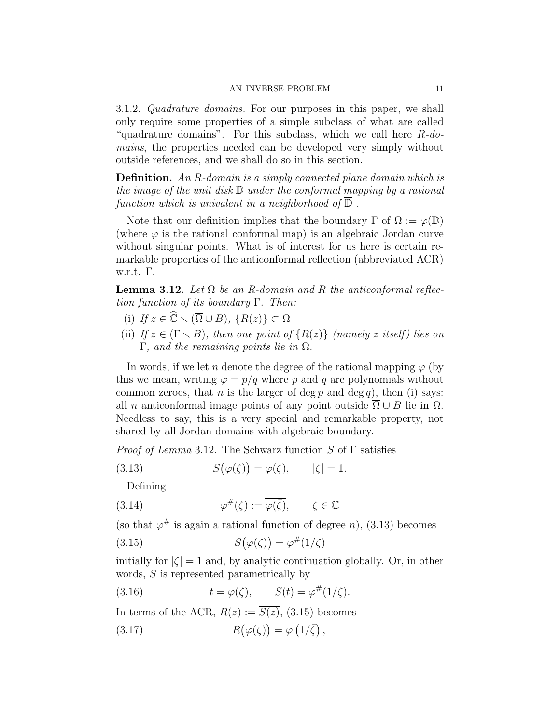3.1.2. *Quadrature domains.* For our purposes in this paper, we shall only require some properties of a simple subclass of what are called "quadrature domains". For this subclass, which we call here R*-domains*, the properties needed can be developed very simply without outside references, and we shall do so in this section.

Definition. *An* R*-domain is a simply connected plane domain which is the image of the unit disk* D *under the conformal mapping by a rational function which is univalent in a neighborhood of* D *.*

Note that our definition implies that the boundary  $\Gamma$  of  $\Omega := \varphi(\mathbb{D})$ (where  $\varphi$  is the rational conformal map) is an algebraic Jordan curve without singular points. What is of interest for us here is certain remarkable properties of the anticonformal reflection (abbreviated ACR) w.r.t. Γ.

**Lemma 3.12.** Let  $\Omega$  be an R-domain and R the anticonformal reflec*tion function of its boundary* Γ*. Then:*

- (i) *If*  $z \in \widehat{\mathbb{C}} \setminus (\overline{\Omega} \cup B)$ ,  $\{R(z)\} \subset \Omega$
- (ii) *If*  $z \in (\Gamma \setminus B)$ *, then one point of*  $\{R(z)\}\$  *(namely z itself) lies on* Γ*, and the remaining points lie in* Ω*.*

In words, if we let n denote the degree of the rational mapping  $\varphi$  (by this we mean, writing  $\varphi = p/q$  where p and q are polynomials without common zeroes, that *n* is the larger of deg *p* and deg *q*), then (i) says: all *n* anticonformal image points of any point outside  $\overline{\Omega} \cup B$  lie in  $\Omega$ . Needless to say, this is a very special and remarkable property, not shared by all Jordan domains with algebraic boundary.

*Proof of Lemma* 3.12*.* The Schwarz function S of Γ satisfies

(3.13) 
$$
S(\varphi(\zeta)) = \overline{\varphi(\zeta)}, \qquad |\zeta| = 1.
$$

Defining

(3.14) 
$$
\varphi^{\#}(\zeta) := \overline{\varphi(\bar{\zeta})}, \qquad \zeta \in \mathbb{C}
$$

(so that  $\varphi^{\#}$  is again a rational function of degree n), (3.13) becomes

(3.15) 
$$
S(\varphi(\zeta)) = \varphi^{\#}(1/\zeta)
$$

initially for  $|\zeta| = 1$  and, by analytic continuation globally. Or, in other words, S is represented parametrically by

(3.16) 
$$
t = \varphi(\zeta), \qquad S(t) = \varphi^{\#}(1/\zeta).
$$

In terms of the ACR,  $R(z) := \overline{S(z)}$ , (3.15) becomes (3.17)  $R(\varphi(\zeta)) = \varphi(1/\overline{\zeta}),$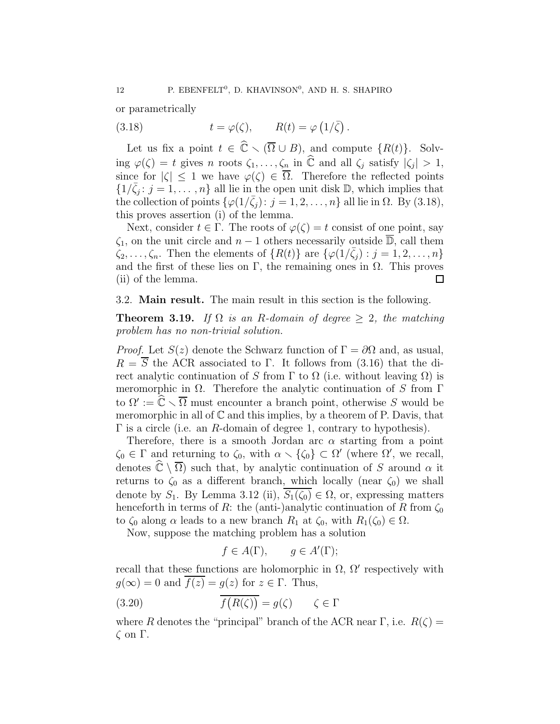or parametrically

(3.18) 
$$
t = \varphi(\zeta), \qquad R(t) = \varphi(1/\overline{\zeta}).
$$

Let us fix a point  $t \in \widehat{\mathbb{C}} \setminus (\overline{\Omega} \cup B)$ , and compute  $\{R(t)\}\$ . Solving  $\varphi(\zeta) = t$  gives n roots  $\zeta_1, \ldots, \zeta_n$  in  $\widehat{\mathbb{C}}$  and all  $\zeta_j$  satisfy  $|\zeta_j| > 1$ , since for  $|\zeta| \leq 1$  we have  $\varphi(\zeta) \in \overline{\Omega}$ . Therefore the reflected points  $\{1/\bar{\zeta}_j : j = 1, \ldots, n\}$  all lie in the open unit disk  $\mathbb{D}$ , which implies that the collection of points  $\{\varphi(1/\bar{\zeta}_j): j=1,2,\ldots,n\}$  all lie in  $\Omega$ . By (3.18), this proves assertion (i) of the lemma.

Next, consider  $t \in \Gamma$ . The roots of  $\varphi(\zeta) = t$  consist of one point, say  $\zeta_1$ , on the unit circle and  $n-1$  others necessarily outside  $\overline{\mathbb{D}}$ , call them  $\zeta_2,\ldots,\zeta_n$ . Then the elements of  $\{R(t)\}\$ are  $\{\varphi(1/\bar{\zeta}_j):j=1,2,\ldots,n\}$ and the first of these lies on Γ, the remaining ones in  $\Omega$ . This proves (ii) of the lemma.  $\Box$ 

## 3.2. Main result. The main result in this section is the following.

**Theorem 3.19.** *If*  $\Omega$  *is an R-domain of degree*  $\geq 2$ *, the matching problem has no non-trivial solution.*

*Proof.* Let  $S(z)$  denote the Schwarz function of  $\Gamma = \partial \Omega$  and, as usual,  $R = \overline{S}$  the ACR associated to Γ. It follows from (3.16) that the direct analytic continuation of S from  $\Gamma$  to  $\Omega$  (i.e. without leaving  $\Omega$ ) is meromorphic in  $\Omega$ . Therefore the analytic continuation of S from Γ to  $\Omega' := \widehat{\mathbb{C}} \setminus \overline{\Omega}$  must encounter a branch point, otherwise S would be meromorphic in all of  $\mathbb C$  and this implies, by a theorem of P. Davis, that  $\Gamma$  is a circle (i.e. an R-domain of degree 1, contrary to hypothesis).

Therefore, there is a smooth Jordan arc  $\alpha$  starting from a point  $\zeta_0 \in \Gamma$  and returning to  $\zeta_0$ , with  $\alpha \setminus {\zeta_0} \subset \Omega'$  (where  $\Omega'$ , we recall, denotes  $\hat{\mathbb{C}} \setminus \overline{\Omega}$  such that, by analytic continuation of S around  $\alpha$  it returns to  $\zeta_0$  as a different branch, which locally (near  $\zeta_0$ ) we shall denote by  $S_1$ . By Lemma 3.12 (ii),  $S_1(\zeta_0) \in \Omega$ , or, expressing matters henceforth in terms of R: the (anti-)analytic continuation of R from  $\zeta_0$ to  $\zeta_0$  along  $\alpha$  leads to a new branch  $R_1$  at  $\zeta_0$ , with  $R_1(\zeta_0) \in \Omega$ .

Now, suppose the matching problem has a solution

$$
f \in A(\Gamma), \qquad g \in A'(\Gamma);
$$

recall that these functions are holomorphic in  $\Omega$ ,  $\Omega'$  respectively with  $g(\infty) = 0$  and  $f(z) = g(z)$  for  $z \in \Gamma$ . Thus,

(3.20) 
$$
\overline{f(R(\zeta))} = g(\zeta) \qquad \zeta \in \Gamma
$$

where R denotes the "principal" branch of the ACR near  $\Gamma$ , i.e.  $R(\zeta)$  = ζ on Γ.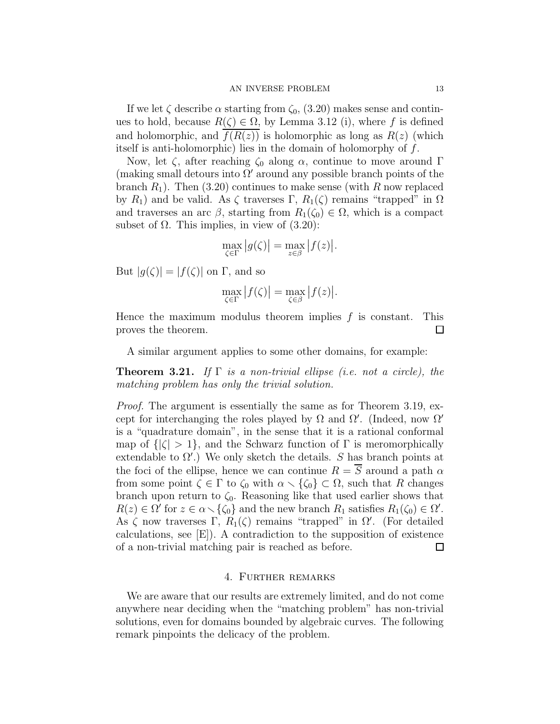If we let  $\zeta$  describe  $\alpha$  starting from  $\zeta_0$ ,  $(3.20)$  makes sense and continues to hold, because  $R(\zeta) \in \Omega$ , by Lemma 3.12 (i), where f is defined and holomorphic, and  $f(R(z))$  is holomorphic as long as  $R(z)$  (which itself is anti-holomorphic) lies in the domain of holomorphy of f.

Now, let  $\zeta$ , after reaching  $\zeta_0$  along  $\alpha$ , continue to move around Γ (making small detours into  $\Omega'$  around any possible branch points of the branch  $R_1$ ). Then (3.20) continues to make sense (with R now replaced by  $R_1$ ) and be valid. As  $\zeta$  traverses  $\Gamma$ ,  $R_1(\zeta)$  remains "trapped" in  $\Omega$ and traverses an arc  $\beta$ , starting from  $R_1(\zeta_0) \in \Omega$ , which is a compact subset of  $\Omega$ . This implies, in view of  $(3.20)$ :

$$
\max_{\zeta \in \Gamma} |g(\zeta)| = \max_{z \in \beta} |f(z)|.
$$

But  $|g(\zeta)| = |f(\zeta)|$  on Γ, and so

$$
\max_{\zeta \in \Gamma} |f(\zeta)| = \max_{\zeta \in \beta} |f(z)|.
$$

Hence the maximum modulus theorem implies  $f$  is constant. This proves the theorem.  $\Box$ 

A similar argument applies to some other domains, for example:

Theorem 3.21. *If* Γ *is a non-trivial ellipse (i.e. not a circle), the matching problem has only the trivial solution.*

*Proof.* The argument is essentially the same as for Theorem 3.19, except for interchanging the roles played by  $\Omega$  and  $\Omega'$ . (Indeed, now  $\Omega'$ ) is a "quadrature domain", in the sense that it is a rational conformal map of  $\{|\zeta| > 1\}$ , and the Schwarz function of  $\Gamma$  is meromorphically extendable to  $\Omega'$ .) We only sketch the details. S has branch points at the foci of the ellipse, hence we can continue  $R = \overline{S}$  around a path  $\alpha$ from some point  $\zeta \in \Gamma$  to  $\zeta_0$  with  $\alpha \setminus {\zeta_0} \subset \Omega$ , such that R changes branch upon return to  $\zeta_0$ . Reasoning like that used earlier shows that  $R(z) \in \Omega'$  for  $z \in \alpha \setminus {\zeta_0}$  and the new branch  $R_1$  satisfies  $R_1(\zeta_0) \in \Omega'.$ As  $\zeta$  now traverses  $\Gamma$ ,  $R_1(\zeta)$  remains "trapped" in  $\Omega'$ . (For detailed calculations, see [E]). A contradiction to the supposition of existence of a non-trivial matching pair is reached as before.  $\Box$ 

## 4. Further remarks

We are aware that our results are extremely limited, and do not come anywhere near deciding when the "matching problem" has non-trivial solutions, even for domains bounded by algebraic curves. The following remark pinpoints the delicacy of the problem.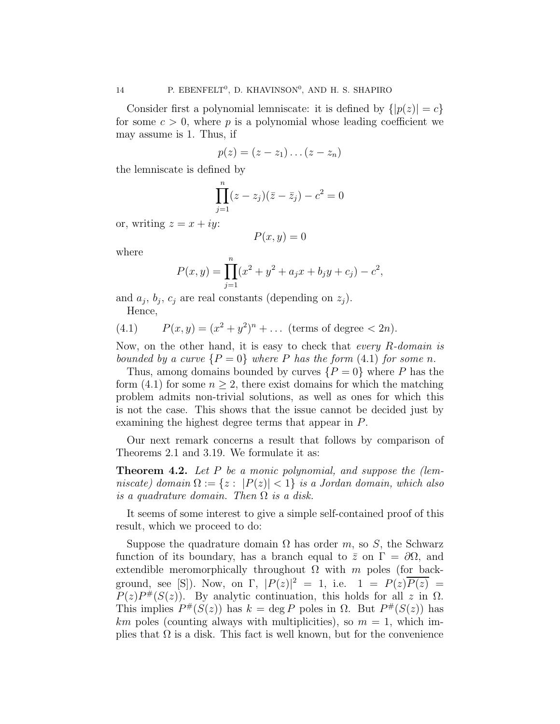Consider first a polynomial lemniscate: it is defined by  $\{|p(z)| = c\}$ for some  $c > 0$ , where p is a polynomial whose leading coefficient we may assume is 1. Thus, if

$$
p(z)=(z-z_1)\dots(z-z_n)
$$

the lemniscate is defined by

$$
\prod_{j=1}^{n} (z - z_j)(\bar{z} - \bar{z}_j) - c^2 = 0
$$

or, writing  $z = x + iy$ :

$$
P(x, y) = 0
$$

where

$$
P(x, y) = \prod_{j=1}^{n} (x^2 + y^2 + a_j x + b_j y + c_j) - c^2,
$$

and  $a_j$ ,  $b_j$ ,  $c_j$  are real constants (depending on  $z_j$ ).

Hence,

(4.1) 
$$
P(x,y) = (x^2 + y^2)^n + \dots \text{ (terms of degree } < 2n).
$$

Now, on the other hand, it is easy to check that *every* R*-domain is bounded by a curve*  $\{P = 0\}$  *where* P *has the form*  $(4.1)$  *for some n*.

Thus, among domains bounded by curves  $\{P=0\}$  where P has the form (4.1) for some  $n \geq 2$ , there exist domains for which the matching problem admits non-trivial solutions, as well as ones for which this is not the case. This shows that the issue cannot be decided just by examining the highest degree terms that appear in P.

Our next remark concerns a result that follows by comparison of Theorems 2.1 and 3.19. We formulate it as:

Theorem 4.2. *Let* P *be a monic polynomial, and suppose the (lemniscate*) domain  $\Omega := \{z : |P(z)| < 1\}$  *is a Jordan domain, which also is a quadrature domain. Then* Ω *is a disk.*

It seems of some interest to give a simple self-contained proof of this result, which we proceed to do:

Suppose the quadrature domain  $\Omega$  has order m, so S, the Schwarz function of its boundary, has a branch equal to  $\bar{z}$  on  $\Gamma = \partial\Omega$ , and extendible meromorphically throughout  $\Omega$  with m poles (for background, see [S]). Now, on  $\Gamma$ ,  $|P(z)|^2 = 1$ , i.e.  $1 = P(z)\overline{P(z)} =$  $P(z)P^{#}(S(z))$ . By analytic continuation, this holds for all z in  $\Omega$ . This implies  $P^{\#}(S(z))$  has  $k = \deg P$  poles in  $\Omega$ . But  $P^{\#}(S(z))$  has  $km$  poles (counting always with multiplicities), so  $m = 1$ , which implies that  $\Omega$  is a disk. This fact is well known, but for the convenience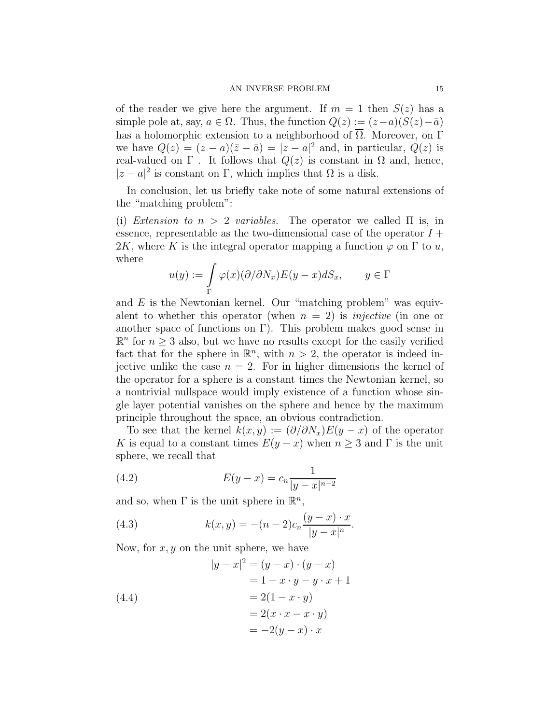of the reader we give here the argument. If  $m = 1$  then  $S(z)$  has a simple pole at, say,  $a \in \Omega$ . Thus, the function  $Q(z) := (z-a)(S(z)-\overline{a})$ has a holomorphic extension to a neighborhood of  $\overline{\Omega}$ . Moreover, on Γ we have  $Q(z) = (z - a)(\overline{z} - \overline{a}) = |z - a|^2$  and, in particular,  $Q(z)$  is real-valued on  $\Gamma$ . It follows that  $Q(z)$  is constant in  $\Omega$  and, hence,  $|z - a|^2$  is constant on Γ, which implies that  $\Omega$  is a disk.

In conclusion, let us briefly take note of some natural extensions of the "matching problem":

(i) *Extension to*  $n > 2$  *variables.* The operator we called  $\Pi$  is, in essence, representable as the two-dimensional case of the operator  $I +$ 2K, where K is the integral operator mapping a function  $\varphi$  on  $\Gamma$  to u, where

$$
u(y) := \int\limits_{\Gamma} \varphi(x) (\partial/\partial N_x) E(y - x) dS_x, \qquad y \in \Gamma
$$

and  $E$  is the Newtonian kernel. Our "matching problem" was equivalent to whether this operator (when  $n = 2$ ) is *injective* (in one or another space of functions on Γ). This problem makes good sense in  $\mathbb{R}^n$  for  $n \geq 3$  also, but we have no results except for the easily verified fact that for the sphere in  $\mathbb{R}^n$ , with  $n > 2$ , the operator is indeed injective unlike the case  $n = 2$ . For in higher dimensions the kernel of the operator for a sphere is a constant times the Newtonian kernel, so a nontrivial nullspace would imply existence of a function whose single layer potential vanishes on the sphere and hence by the maximum principle throughout the space, an obvious contradiction.

To see that the kernel  $k(x, y) := (\partial/\partial N_x)E(y - x)$  of the operator K is equal to a constant times  $E(y - x)$  when  $n \geq 3$  and  $\Gamma$  is the unit sphere, we recall that

(4.2) 
$$
E(y-x) = c_n \frac{1}{|y-x|^{n-2}}
$$

and so, when  $\Gamma$  is the unit sphere in  $\mathbb{R}^n$ ,

(4.3) 
$$
k(x,y) = -(n-2)c_n \frac{(y-x) \cdot x}{|y-x|^n}.
$$

Now, for  $x, y$  on the unit sphere, we have

(4.4)  
\n
$$
|y - x|^2 = (y - x) \cdot (y - x)
$$
\n
$$
= 1 - x \cdot y - y \cdot x + 1
$$
\n
$$
= 2(1 - x \cdot y)
$$
\n
$$
= 2(x \cdot x - x \cdot y)
$$
\n
$$
= -2(y - x) \cdot x
$$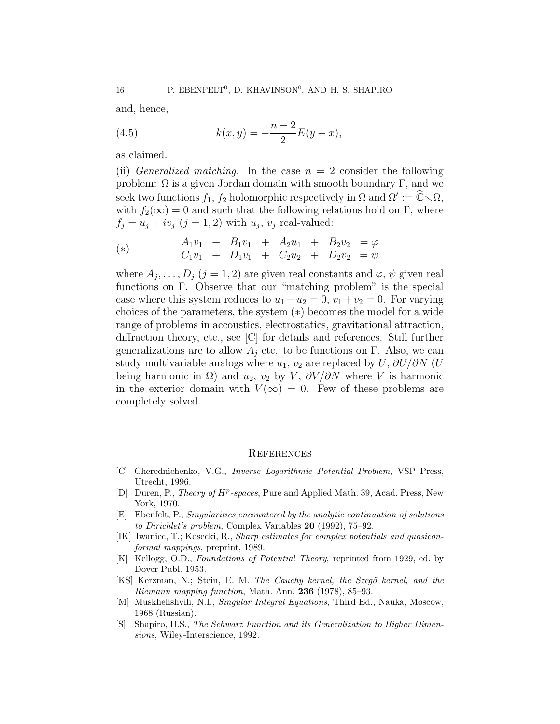and, hence,

(4.5) 
$$
k(x,y) = -\frac{n-2}{2}E(y-x),
$$

as claimed.

(ii) *Generalized matching*. In the case  $n = 2$  consider the following problem: Ω is a given Jordan domain with smooth boundary Γ, and we seek two functions  $f_1$ ,  $f_2$  holomorphic respectively in  $\Omega$  and  $\Omega' := \widehat{\mathbb{C}} \setminus \overline{\Omega}$ , with  $f_2(\infty) = 0$  and such that the following relations hold on Γ, where  $f_j = u_j + iv_j$   $(j = 1, 2)$  with  $u_j$ ,  $v_j$  real-valued:

(\*)  
\n
$$
A_1v_1 + B_1v_1 + A_2u_1 + B_2v_2 = \varphi
$$
\n
$$
C_1v_1 + D_1v_1 + C_2u_2 + D_2v_2 = \psi
$$

where  $A_j, \ldots, D_j$   $(j = 1, 2)$  are given real constants and  $\varphi, \psi$  given real functions on Γ. Observe that our "matching problem" is the special case where this system reduces to  $u_1 - u_2 = 0$ ,  $v_1 + v_2 = 0$ . For varying choices of the parameters, the system (∗) becomes the model for a wide range of problems in accoustics, electrostatics, gravitational attraction, diffraction theory, etc., see [C] for details and references. Still further generalizations are to allow  $A_i$  etc. to be functions on Γ. Also, we can study multivariable analogs where  $u_1, v_2$  are replaced by  $U, \partial U/\partial N$  (U being harmonic in  $\Omega$ ) and  $u_2$ ,  $v_2$  by V,  $\partial V/\partial N$  where V is harmonic in the exterior domain with  $V(\infty) = 0$ . Few of these problems are completely solved.

#### **REFERENCES**

- [C] Cherednichenko, V.G., Inverse Logarithmic Potential Problem, VSP Press, Utrecht, 1996.
- [D] Duren, P., Theory of HP-spaces, Pure and Applied Math. 39, Acad. Press, New York, 1970.
- [E] Ebenfelt, P., Singularities encountered by the analytic continuation of solutions to Dirichlet's problem, Complex Variables 20 (1992), 75–92.
- [IK] Iwaniec, T.; Kosecki, R., Sharp estimates for complex potentials and quasiconformal mappings, preprint, 1989.
- [K] Kellogg, O.D., Foundations of Potential Theory, reprinted from 1929, ed. by Dover Publ. 1953.
- [KS] Kerzman, N.; Stein, E. M. The Cauchy kernel, the Szegö kernel, and the Riemann mapping function, Math. Ann. 236 (1978), 85–93.
- [M] Muskhelishvili, N.I., Singular Integral Equations, Third Ed., Nauka, Moscow, 1968 (Russian).
- [S] Shapiro, H.S., The Schwarz Function and its Generalization to Higher Dimensions, Wiley-Interscience, 1992.